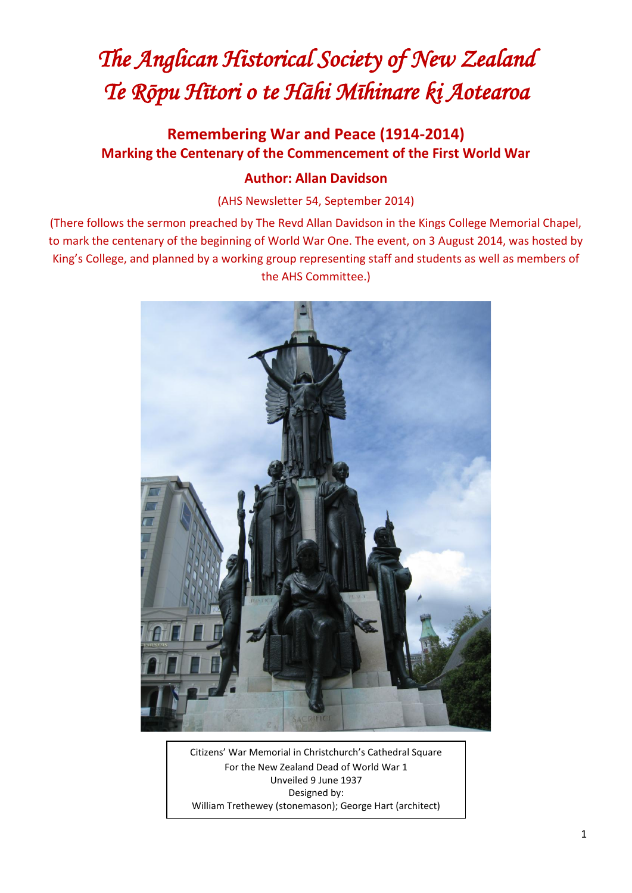## *The Anglican Historical Society of New Zealand Te Rōpu Hītori o te Hāhi Mīhinare ki Aotearoa*

## **Remembering War and Peace (1914-2014) Marking the Centenary of the Commencement of the First World War**

## **Author: Allan Davidson**

(AHS Newsletter 54, September 2014)

(There follows the sermon preached by The Revd Allan Davidson in the Kings College Memorial Chapel, to mark the centenary of the beginning of World War One. The event, on 3 August 2014, was hosted by King's College, and planned by a working group representing staff and students as well as members of the AHS Committee.)



Citizens' War Memorial in Christchurch's Cathedral Square For the New Zealand Dead of World War 1 Unveiled 9 June 1937 Designed by: William Trethewey (stonemason); George Hart (architect)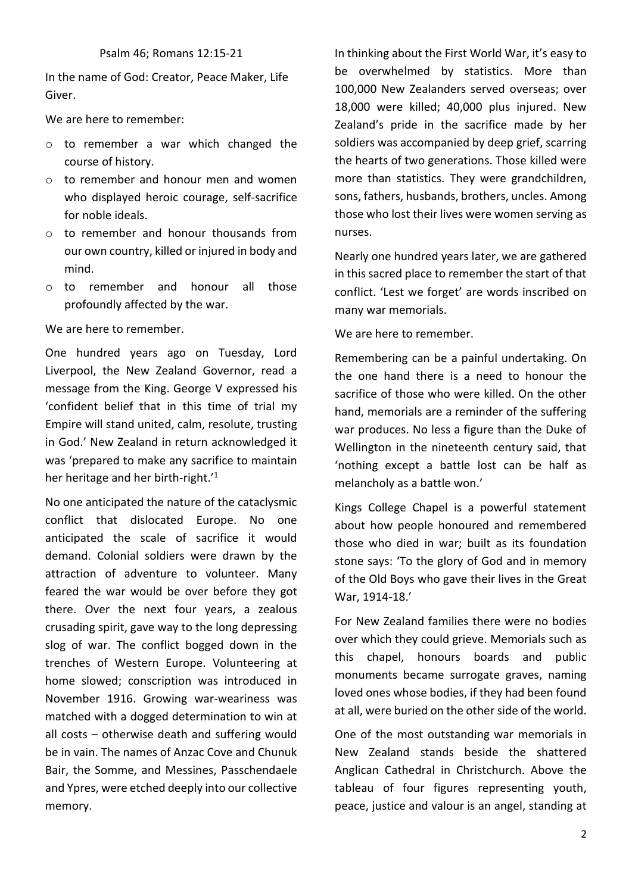In the name of God: Creator, Peace Maker, Life Giver.

We are here to remember:

- o to remember a war which changed the course of history.
- o to remember and honour men and women who displayed heroic courage, self-sacrifice for noble ideals.
- o to remember and honour thousands from our own country, killed or injured in body and mind.
- o to remember and honour all those profoundly affected by the war.

We are here to remember.

One hundred years ago on Tuesday, Lord Liverpool, the New Zealand Governor, read a message from the King. George V expressed his 'confident belief that in this time of trial my Empire will stand united, calm, resolute, trusting in God.' New Zealand in return acknowledged it was 'prepared to make any sacrifice to maintain her heritage and her birth-right.'<sup>1</sup>

No one anticipated the nature of the cataclysmic conflict that dislocated Europe. No one anticipated the scale of sacrifice it would demand. Colonial soldiers were drawn by the attraction of adventure to volunteer. Many feared the war would be over before they got there. Over the next four years, a zealous crusading spirit, gave way to the long depressing slog of war. The conflict bogged down in the trenches of Western Europe. Volunteering at home slowed; conscription was introduced in November 1916. Growing war-weariness was matched with a dogged determination to win at all costs – otherwise death and suffering would be in vain. The names of Anzac Cove and Chunuk Bair, the Somme, and Messines, Passchendaele and Ypres, were etched deeply into our collective memory.

In thinking about the First World War, it's easy to be overwhelmed by statistics. More than 100,000 New Zealanders served overseas; over 18,000 were killed; 40,000 plus injured. New Zealand's pride in the sacrifice made by her soldiers was accompanied by deep grief, scarring the hearts of two generations. Those killed were more than statistics. They were grandchildren, sons, fathers, husbands, brothers, uncles. Among those who lost their lives were women serving as nurses.

Nearly one hundred years later, we are gathered in this sacred place to remember the start of that conflict. 'Lest we forget' are words inscribed on many war memorials.

We are here to remember.

Remembering can be a painful undertaking. On the one hand there is a need to honour the sacrifice of those who were killed. On the other hand, memorials are a reminder of the suffering war produces. No less a figure than the Duke of Wellington in the nineteenth century said, that 'nothing except a battle lost can be half as melancholy as a battle won.'

Kings College Chapel is a powerful statement about how people honoured and remembered those who died in war; built as its foundation stone says: 'To the glory of God and in memory of the Old Boys who gave their lives in the Great War, 1914-18.'

For New Zealand families there were no bodies over which they could grieve. Memorials such as this chapel, honours boards and public monuments became surrogate graves, naming loved ones whose bodies, if they had been found at all, were buried on the other side of the world.

One of the most outstanding war memorials in New Zealand stands beside the shattered Anglican Cathedral in Christchurch. Above the tableau of four figures representing youth, peace, justice and valour is an angel, standing at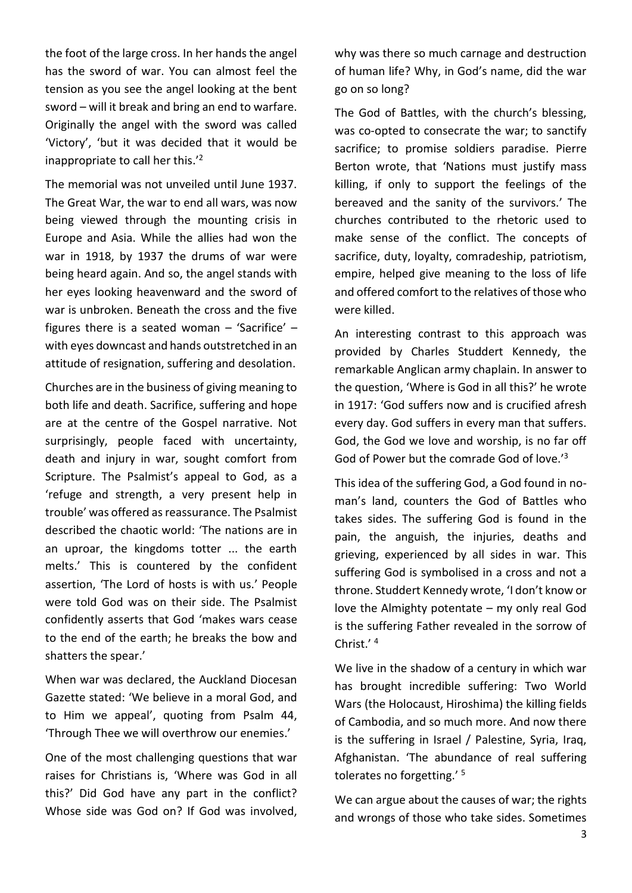the foot of the large cross. In her hands the angel has the sword of war. You can almost feel the tension as you see the angel looking at the bent sword – will it break and bring an end to warfare. Originally the angel with the sword was called 'Victory', 'but it was decided that it would be inappropriate to call her this.'<sup>2</sup>

The memorial was not unveiled until June 1937. The Great War, the war to end all wars, was now being viewed through the mounting crisis in Europe and Asia. While the allies had won the war in 1918, by 1937 the drums of war were being heard again. And so, the angel stands with her eyes looking heavenward and the sword of war is unbroken. Beneath the cross and the five figures there is a seated woman – 'Sacrifice' – with eyes downcast and hands outstretched in an attitude of resignation, suffering and desolation.

Churches are in the business of giving meaning to both life and death. Sacrifice, suffering and hope are at the centre of the Gospel narrative. Not surprisingly, people faced with uncertainty, death and injury in war, sought comfort from Scripture. The Psalmist's appeal to God, as a 'refuge and strength, a very present help in trouble' was offered as reassurance. The Psalmist described the chaotic world: 'The nations are in an uproar, the kingdoms totter ... the earth melts.' This is countered by the confident assertion, 'The Lord of hosts is with us.' People were told God was on their side. The Psalmist confidently asserts that God 'makes wars cease to the end of the earth; he breaks the bow and shatters the spear.'

When war was declared, the Auckland Diocesan Gazette stated: 'We believe in a moral God, and to Him we appeal', quoting from Psalm 44, 'Through Thee we will overthrow our enemies.'

One of the most challenging questions that war raises for Christians is, 'Where was God in all this?' Did God have any part in the conflict? Whose side was God on? If God was involved, why was there so much carnage and destruction of human life? Why, in God's name, did the war go on so long?

The God of Battles, with the church's blessing, was co-opted to consecrate the war; to sanctify sacrifice; to promise soldiers paradise. Pierre Berton wrote, that 'Nations must justify mass killing, if only to support the feelings of the bereaved and the sanity of the survivors.' The churches contributed to the rhetoric used to make sense of the conflict. The concepts of sacrifice, duty, loyalty, comradeship, patriotism, empire, helped give meaning to the loss of life and offered comfort to the relatives of those who were killed.

An interesting contrast to this approach was provided by Charles Studdert Kennedy, the remarkable Anglican army chaplain. In answer to the question, 'Where is God in all this?' he wrote in 1917: 'God suffers now and is crucified afresh every day. God suffers in every man that suffers. God, the God we love and worship, is no far off God of Power but the comrade God of love.<sup>'3</sup>

This idea of the suffering God, a God found in noman's land, counters the God of Battles who takes sides. The suffering God is found in the pain, the anguish, the injuries, deaths and grieving, experienced by all sides in war. This suffering God is symbolised in a cross and not a throne. Studdert Kennedy wrote, 'I don't know or love the Almighty potentate – my only real God is the suffering Father revealed in the sorrow of Christ.' 4

We live in the shadow of a century in which war has brought incredible suffering: Two World Wars (the Holocaust, Hiroshima) the killing fields of Cambodia, and so much more. And now there is the suffering in Israel / Palestine, Syria, Iraq, Afghanistan. 'The abundance of real suffering tolerates no forgetting.' <sup>5</sup>

We can argue about the causes of war; the rights and wrongs of those who take sides. Sometimes